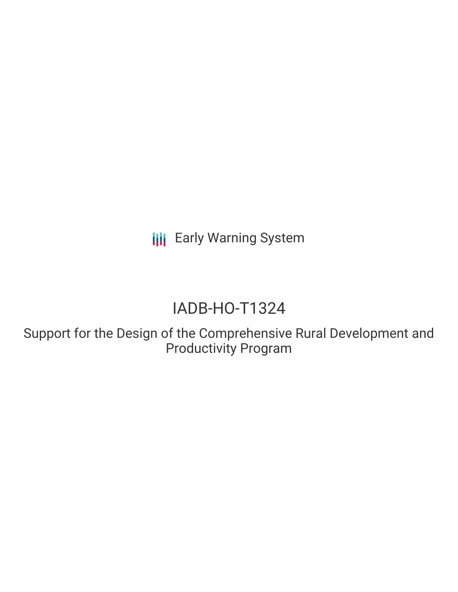**III** Early Warning System

# IADB-HO-T1324

Support for the Design of the Comprehensive Rural Development and Productivity Program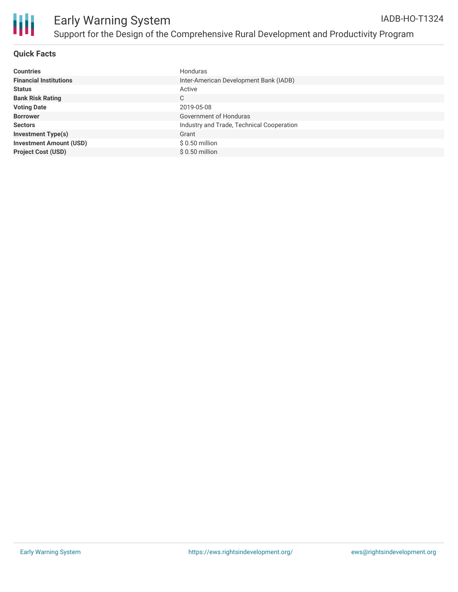

## **Quick Facts**

| <b>Countries</b>               | Honduras                                  |
|--------------------------------|-------------------------------------------|
| <b>Financial Institutions</b>  | Inter-American Development Bank (IADB)    |
| <b>Status</b>                  | Active                                    |
| <b>Bank Risk Rating</b>        | С                                         |
| <b>Voting Date</b>             | 2019-05-08                                |
| <b>Borrower</b>                | Government of Honduras                    |
| <b>Sectors</b>                 | Industry and Trade, Technical Cooperation |
| <b>Investment Type(s)</b>      | Grant                                     |
| <b>Investment Amount (USD)</b> | $$0.50$ million                           |
| <b>Project Cost (USD)</b>      | $$0.50$ million                           |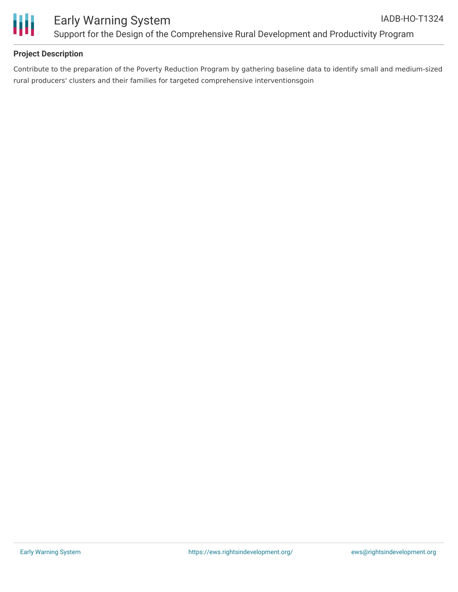

# **Project Description**

Contribute to the preparation of the Poverty Reduction Program by gathering baseline data to identify small and medium-sized rural producers' clusters and their families for targeted comprehensive interventionsgoin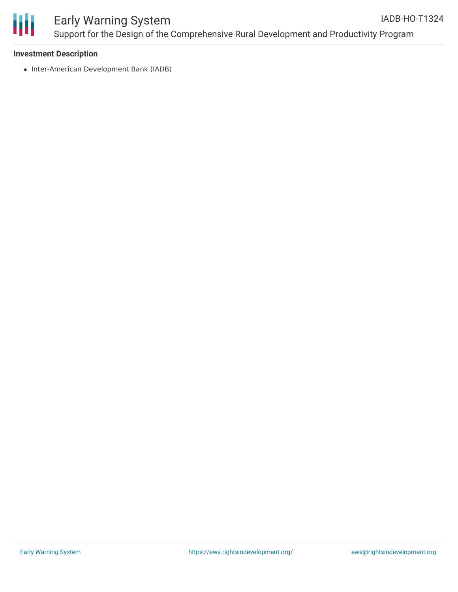

#### **Investment Description**

• Inter-American Development Bank (IADB)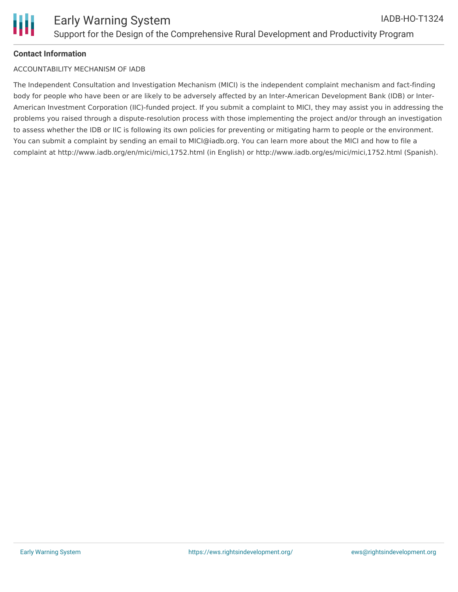# **Contact Information**

## ACCOUNTABILITY MECHANISM OF IADB

The Independent Consultation and Investigation Mechanism (MICI) is the independent complaint mechanism and fact-finding body for people who have been or are likely to be adversely affected by an Inter-American Development Bank (IDB) or Inter-American Investment Corporation (IIC)-funded project. If you submit a complaint to MICI, they may assist you in addressing the problems you raised through a dispute-resolution process with those implementing the project and/or through an investigation to assess whether the IDB or IIC is following its own policies for preventing or mitigating harm to people or the environment. You can submit a complaint by sending an email to MICI@iadb.org. You can learn more about the MICI and how to file a complaint at http://www.iadb.org/en/mici/mici,1752.html (in English) or http://www.iadb.org/es/mici/mici,1752.html (Spanish).